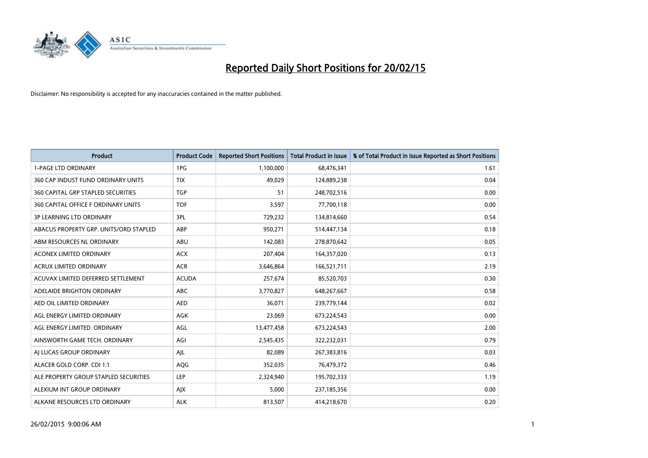

| <b>Product</b>                         | <b>Product Code</b> | <b>Reported Short Positions</b> | <b>Total Product in Issue</b> | % of Total Product in Issue Reported as Short Positions |
|----------------------------------------|---------------------|---------------------------------|-------------------------------|---------------------------------------------------------|
| <b>1-PAGE LTD ORDINARY</b>             | 1PG                 | 1,100,000                       | 68,476,341                    | 1.61                                                    |
| 360 CAP INDUST FUND ORDINARY UNITS     | <b>TIX</b>          | 49,029                          | 124,889,238                   | 0.04                                                    |
| 360 CAPITAL GRP STAPLED SECURITIES     | <b>TGP</b>          | 51                              | 248,702,516                   | 0.00                                                    |
| 360 CAPITAL OFFICE F ORDINARY UNITS    | <b>TOF</b>          | 3,597                           | 77,700,118                    | 0.00                                                    |
| <b>3P LEARNING LTD ORDINARY</b>        | 3PL                 | 729,232                         | 134,814,660                   | 0.54                                                    |
| ABACUS PROPERTY GRP. UNITS/ORD STAPLED | ABP                 | 950,271                         | 514,447,134                   | 0.18                                                    |
| ABM RESOURCES NL ORDINARY              | ABU                 | 142,083                         | 278,870,642                   | 0.05                                                    |
| ACONEX LIMITED ORDINARY                | <b>ACX</b>          | 207,404                         | 164,357,020                   | 0.13                                                    |
| <b>ACRUX LIMITED ORDINARY</b>          | <b>ACR</b>          | 3,646,864                       | 166,521,711                   | 2.19                                                    |
| ACUVAX LIMITED DEFERRED SETTLEMENT     | <b>ACUDA</b>        | 257,674                         | 85,520,703                    | 0.30                                                    |
| ADELAIDE BRIGHTON ORDINARY             | <b>ABC</b>          | 3,770,827                       | 648,267,667                   | 0.58                                                    |
| AED OIL LIMITED ORDINARY               | AED                 | 36,071                          | 239,779,144                   | 0.02                                                    |
| AGL ENERGY LIMITED ORDINARY            | <b>AGK</b>          | 23,069                          | 673,224,543                   | 0.00                                                    |
| AGL ENERGY LIMITED. ORDINARY           | AGL                 | 13,477,458                      | 673,224,543                   | 2.00                                                    |
| AINSWORTH GAME TECH. ORDINARY          | AGI                 | 2,545,435                       | 322,232,031                   | 0.79                                                    |
| AI LUCAS GROUP ORDINARY                | AJL                 | 82,089                          | 267,383,816                   | 0.03                                                    |
| ALACER GOLD CORP. CDI 1:1              | AQG                 | 352,035                         | 76,479,372                    | 0.46                                                    |
| ALE PROPERTY GROUP STAPLED SECURITIES  | LEP                 | 2,324,940                       | 195,702,333                   | 1.19                                                    |
| ALEXIUM INT GROUP ORDINARY             | AJX                 | 5,000                           | 237,185,356                   | 0.00                                                    |
| ALKANE RESOURCES LTD ORDINARY          | <b>ALK</b>          | 813,507                         | 414,218,670                   | 0.20                                                    |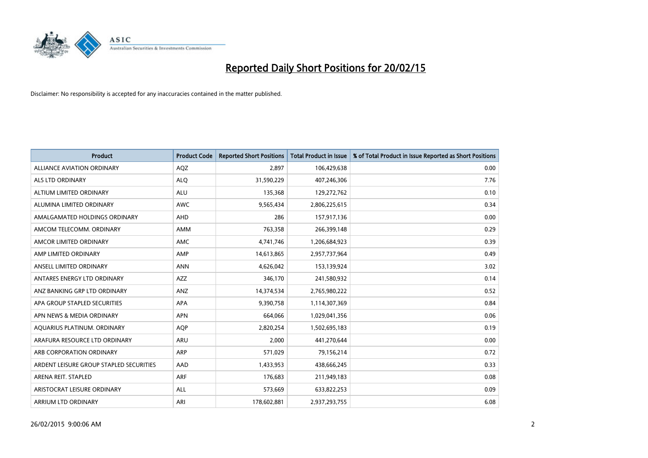

| <b>Product</b>                          | <b>Product Code</b> | <b>Reported Short Positions</b> | <b>Total Product in Issue</b> | % of Total Product in Issue Reported as Short Positions |
|-----------------------------------------|---------------------|---------------------------------|-------------------------------|---------------------------------------------------------|
| <b>ALLIANCE AVIATION ORDINARY</b>       | AQZ                 | 2,897                           | 106,429,638                   | 0.00                                                    |
| ALS LTD ORDINARY                        | <b>ALQ</b>          | 31,590,229                      | 407,246,306                   | 7.76                                                    |
| ALTIUM LIMITED ORDINARY                 | ALU                 | 135,368                         | 129,272,762                   | 0.10                                                    |
| ALUMINA LIMITED ORDINARY                | <b>AWC</b>          | 9,565,434                       | 2,806,225,615                 | 0.34                                                    |
| AMALGAMATED HOLDINGS ORDINARY           | AHD                 | 286                             | 157,917,136                   | 0.00                                                    |
| AMCOM TELECOMM. ORDINARY                | AMM                 | 763,358                         | 266,399,148                   | 0.29                                                    |
| AMCOR LIMITED ORDINARY                  | AMC                 | 4,741,746                       | 1,206,684,923                 | 0.39                                                    |
| AMP LIMITED ORDINARY                    | AMP                 | 14,613,865                      | 2,957,737,964                 | 0.49                                                    |
| ANSELL LIMITED ORDINARY                 | <b>ANN</b>          | 4,626,042                       | 153,139,924                   | 3.02                                                    |
| ANTARES ENERGY LTD ORDINARY             | AZZ                 | 346,170                         | 241,580,932                   | 0.14                                                    |
| ANZ BANKING GRP LTD ORDINARY            | ANZ                 | 14,374,534                      | 2,765,980,222                 | 0.52                                                    |
| APA GROUP STAPLED SECURITIES            | <b>APA</b>          | 9,390,758                       | 1,114,307,369                 | 0.84                                                    |
| APN NEWS & MEDIA ORDINARY               | <b>APN</b>          | 664,066                         | 1,029,041,356                 | 0.06                                                    |
| AQUARIUS PLATINUM. ORDINARY             | AQP                 | 2,820,254                       | 1,502,695,183                 | 0.19                                                    |
| ARAFURA RESOURCE LTD ORDINARY           | <b>ARU</b>          | 2,000                           | 441,270,644                   | 0.00                                                    |
| ARB CORPORATION ORDINARY                | <b>ARP</b>          | 571,029                         | 79,156,214                    | 0.72                                                    |
| ARDENT LEISURE GROUP STAPLED SECURITIES | AAD                 | 1,433,953                       | 438,666,245                   | 0.33                                                    |
| ARENA REIT. STAPLED                     | <b>ARF</b>          | 176,683                         | 211,949,183                   | 0.08                                                    |
| ARISTOCRAT LEISURE ORDINARY             | ALL                 | 573,669                         | 633,822,253                   | 0.09                                                    |
| ARRIUM LTD ORDINARY                     | ARI                 | 178,602,881                     | 2,937,293,755                 | 6.08                                                    |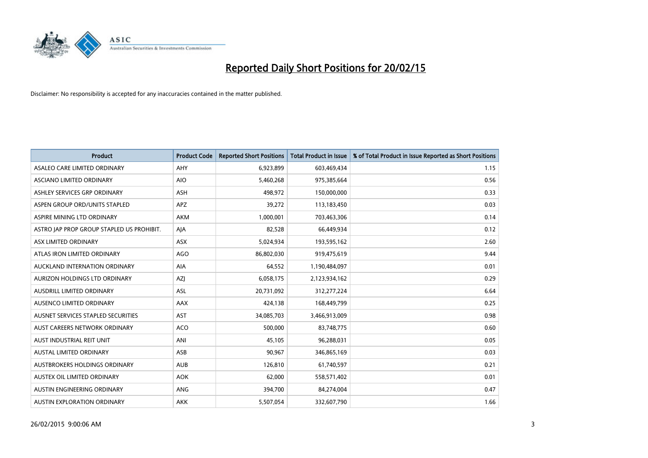

| <b>Product</b>                            | <b>Product Code</b> | <b>Reported Short Positions</b> | <b>Total Product in Issue</b> | % of Total Product in Issue Reported as Short Positions |
|-------------------------------------------|---------------------|---------------------------------|-------------------------------|---------------------------------------------------------|
| ASALEO CARE LIMITED ORDINARY              | AHY                 | 6,923,899                       | 603,469,434                   | 1.15                                                    |
| ASCIANO LIMITED ORDINARY                  | <b>AIO</b>          | 5,460,268                       | 975,385,664                   | 0.56                                                    |
| ASHLEY SERVICES GRP ORDINARY              | ASH                 | 498,972                         | 150,000,000                   | 0.33                                                    |
| ASPEN GROUP ORD/UNITS STAPLED             | <b>APZ</b>          | 39,272                          | 113,183,450                   | 0.03                                                    |
| ASPIRE MINING LTD ORDINARY                | <b>AKM</b>          | 1,000,001                       | 703,463,306                   | 0.14                                                    |
| ASTRO JAP PROP GROUP STAPLED US PROHIBIT. | AJA                 | 82,528                          | 66,449,934                    | 0.12                                                    |
| ASX LIMITED ORDINARY                      | ASX                 | 5,024,934                       | 193,595,162                   | 2.60                                                    |
| ATLAS IRON LIMITED ORDINARY               | <b>AGO</b>          | 86,802,030                      | 919,475,619                   | 9.44                                                    |
| AUCKLAND INTERNATION ORDINARY             | AIA                 | 64,552                          | 1,190,484,097                 | 0.01                                                    |
| AURIZON HOLDINGS LTD ORDINARY             | AZJ                 | 6,058,175                       | 2,123,934,162                 | 0.29                                                    |
| AUSDRILL LIMITED ORDINARY                 | ASL                 | 20,731,092                      | 312,277,224                   | 6.64                                                    |
| AUSENCO LIMITED ORDINARY                  | AAX                 | 424,138                         | 168,449,799                   | 0.25                                                    |
| AUSNET SERVICES STAPLED SECURITIES        | <b>AST</b>          | 34,085,703                      | 3,466,913,009                 | 0.98                                                    |
| AUST CAREERS NETWORK ORDINARY             | <b>ACO</b>          | 500,000                         | 83,748,775                    | 0.60                                                    |
| AUST INDUSTRIAL REIT UNIT                 | ANI                 | 45,105                          | 96,288,031                    | 0.05                                                    |
| <b>AUSTAL LIMITED ORDINARY</b>            | ASB                 | 90,967                          | 346,865,169                   | 0.03                                                    |
| AUSTBROKERS HOLDINGS ORDINARY             | <b>AUB</b>          | 126,810                         | 61,740,597                    | 0.21                                                    |
| AUSTEX OIL LIMITED ORDINARY               | <b>AOK</b>          | 62,000                          | 558,571,402                   | 0.01                                                    |
| AUSTIN ENGINEERING ORDINARY               | ANG                 | 394,700                         | 84,274,004                    | 0.47                                                    |
| AUSTIN EXPLORATION ORDINARY               | <b>AKK</b>          | 5,507,054                       | 332,607,790                   | 1.66                                                    |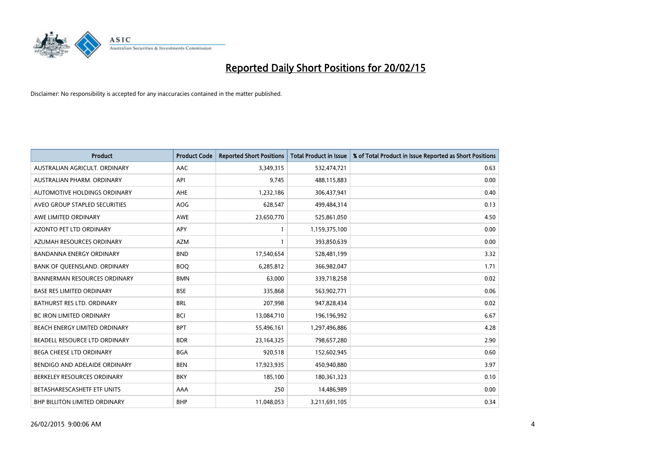

| <b>Product</b>                      | <b>Product Code</b> | <b>Reported Short Positions</b> | <b>Total Product in Issue</b> | % of Total Product in Issue Reported as Short Positions |
|-------------------------------------|---------------------|---------------------------------|-------------------------------|---------------------------------------------------------|
| AUSTRALIAN AGRICULT, ORDINARY       | AAC                 | 3,349,315                       | 532,474,721                   | 0.63                                                    |
| AUSTRALIAN PHARM. ORDINARY          | API                 | 9,745                           | 488,115,883                   | 0.00                                                    |
| AUTOMOTIVE HOLDINGS ORDINARY        | AHE                 | 1,232,186                       | 306,437,941                   | 0.40                                                    |
| AVEO GROUP STAPLED SECURITIES       | AOG                 | 628,547                         | 499,484,314                   | 0.13                                                    |
| AWE LIMITED ORDINARY                | <b>AWE</b>          | 23,650,770                      | 525,861,050                   | 4.50                                                    |
| <b>AZONTO PET LTD ORDINARY</b>      | <b>APY</b>          | 1                               | 1,159,375,100                 | 0.00                                                    |
| AZUMAH RESOURCES ORDINARY           | <b>AZM</b>          | $\mathbf{1}$                    | 393,850,639                   | 0.00                                                    |
| BANDANNA ENERGY ORDINARY            | <b>BND</b>          | 17,540,654                      | 528,481,199                   | 3.32                                                    |
| BANK OF QUEENSLAND. ORDINARY        | <b>BOQ</b>          | 6,285,812                       | 366,982,047                   | 1.71                                                    |
| <b>BANNERMAN RESOURCES ORDINARY</b> | <b>BMN</b>          | 63,000                          | 339,718,258                   | 0.02                                                    |
| <b>BASE RES LIMITED ORDINARY</b>    | <b>BSE</b>          | 335,868                         | 563,902,771                   | 0.06                                                    |
| <b>BATHURST RES LTD. ORDINARY</b>   | <b>BRL</b>          | 207,998                         | 947,828,434                   | 0.02                                                    |
| <b>BC IRON LIMITED ORDINARY</b>     | <b>BCI</b>          | 13,084,710                      | 196,196,992                   | 6.67                                                    |
| BEACH ENERGY LIMITED ORDINARY       | <b>BPT</b>          | 55,496,161                      | 1,297,496,886                 | 4.28                                                    |
| BEADELL RESOURCE LTD ORDINARY       | <b>BDR</b>          | 23,164,325                      | 798,657,280                   | 2.90                                                    |
| BEGA CHEESE LTD ORDINARY            | <b>BGA</b>          | 920,518                         | 152,602,945                   | 0.60                                                    |
| BENDIGO AND ADELAIDE ORDINARY       | <b>BEN</b>          | 17,923,935                      | 450,940,880                   | 3.97                                                    |
| BERKELEY RESOURCES ORDINARY         | <b>BKY</b>          | 185,100                         | 180,361,323                   | 0.10                                                    |
| BETASHARESCASHETF ETF UNITS         | AAA                 | 250                             | 14,486,989                    | 0.00                                                    |
| BHP BILLITON LIMITED ORDINARY       | <b>BHP</b>          | 11,048,053                      | 3,211,691,105                 | 0.34                                                    |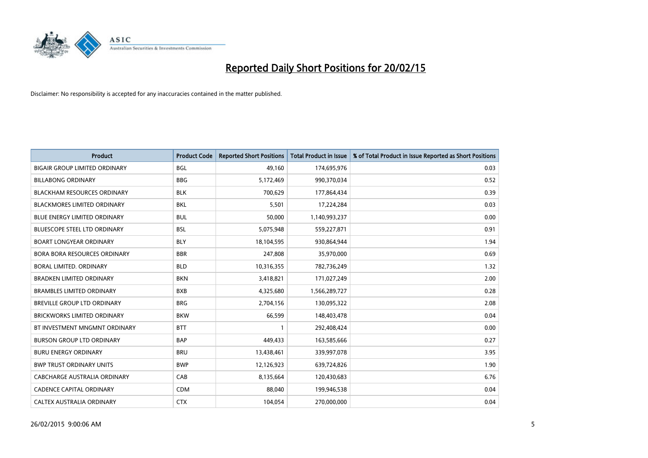

| <b>Product</b>                       | <b>Product Code</b> | <b>Reported Short Positions</b> | <b>Total Product in Issue</b> | % of Total Product in Issue Reported as Short Positions |
|--------------------------------------|---------------------|---------------------------------|-------------------------------|---------------------------------------------------------|
| <b>BIGAIR GROUP LIMITED ORDINARY</b> | <b>BGL</b>          | 49,160                          | 174,695,976                   | 0.03                                                    |
| <b>BILLABONG ORDINARY</b>            | <b>BBG</b>          | 5,172,469                       | 990,370,034                   | 0.52                                                    |
| <b>BLACKHAM RESOURCES ORDINARY</b>   | <b>BLK</b>          | 700,629                         | 177,864,434                   | 0.39                                                    |
| BLACKMORES LIMITED ORDINARY          | <b>BKL</b>          | 5,501                           | 17,224,284                    | 0.03                                                    |
| <b>BLUE ENERGY LIMITED ORDINARY</b>  | <b>BUL</b>          | 50,000                          | 1,140,993,237                 | 0.00                                                    |
| <b>BLUESCOPE STEEL LTD ORDINARY</b>  | <b>BSL</b>          | 5,075,948                       | 559,227,871                   | 0.91                                                    |
| <b>BOART LONGYEAR ORDINARY</b>       | <b>BLY</b>          | 18,104,595                      | 930,864,944                   | 1.94                                                    |
| BORA BORA RESOURCES ORDINARY         | <b>BBR</b>          | 247,808                         | 35,970,000                    | 0.69                                                    |
| <b>BORAL LIMITED, ORDINARY</b>       | <b>BLD</b>          | 10,316,355                      | 782,736,249                   | 1.32                                                    |
| <b>BRADKEN LIMITED ORDINARY</b>      | <b>BKN</b>          | 3,418,821                       | 171,027,249                   | 2.00                                                    |
| <b>BRAMBLES LIMITED ORDINARY</b>     | <b>BXB</b>          | 4,325,680                       | 1,566,289,727                 | 0.28                                                    |
| <b>BREVILLE GROUP LTD ORDINARY</b>   | <b>BRG</b>          | 2,704,156                       | 130,095,322                   | 2.08                                                    |
| <b>BRICKWORKS LIMITED ORDINARY</b>   | <b>BKW</b>          | 66,599                          | 148,403,478                   | 0.04                                                    |
| BT INVESTMENT MNGMNT ORDINARY        | <b>BTT</b>          | $\mathbf{1}$                    | 292,408,424                   | 0.00                                                    |
| <b>BURSON GROUP LTD ORDINARY</b>     | <b>BAP</b>          | 449,433                         | 163,585,666                   | 0.27                                                    |
| <b>BURU ENERGY ORDINARY</b>          | <b>BRU</b>          | 13,438,461                      | 339,997,078                   | 3.95                                                    |
| <b>BWP TRUST ORDINARY UNITS</b>      | <b>BWP</b>          | 12,126,923                      | 639,724,826                   | 1.90                                                    |
| CABCHARGE AUSTRALIA ORDINARY         | CAB                 | 8,135,664                       | 120,430,683                   | 6.76                                                    |
| <b>CADENCE CAPITAL ORDINARY</b>      | <b>CDM</b>          | 88,040                          | 199,946,538                   | 0.04                                                    |
| CALTEX AUSTRALIA ORDINARY            | <b>CTX</b>          | 104,054                         | 270,000,000                   | 0.04                                                    |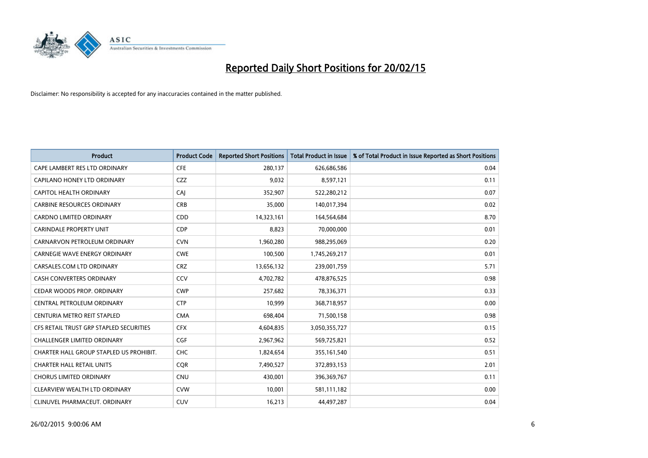

| <b>Product</b>                          | <b>Product Code</b> | <b>Reported Short Positions</b> | <b>Total Product in Issue</b> | % of Total Product in Issue Reported as Short Positions |
|-----------------------------------------|---------------------|---------------------------------|-------------------------------|---------------------------------------------------------|
| CAPE LAMBERT RES LTD ORDINARY           | <b>CFE</b>          | 280,137                         | 626,686,586                   | 0.04                                                    |
| CAPILANO HONEY LTD ORDINARY             | CZZ                 | 9,032                           | 8,597,121                     | 0.11                                                    |
| CAPITOL HEALTH ORDINARY                 | CAJ                 | 352,907                         | 522,280,212                   | 0.07                                                    |
| <b>CARBINE RESOURCES ORDINARY</b>       | <b>CRB</b>          | 35,000                          | 140,017,394                   | 0.02                                                    |
| <b>CARDNO LIMITED ORDINARY</b>          | CDD                 | 14,323,161                      | 164,564,684                   | 8.70                                                    |
| <b>CARINDALE PROPERTY UNIT</b>          | <b>CDP</b>          | 8,823                           | 70,000,000                    | 0.01                                                    |
| CARNARVON PETROLEUM ORDINARY            | <b>CVN</b>          | 1,960,280                       | 988,295,069                   | 0.20                                                    |
| <b>CARNEGIE WAVE ENERGY ORDINARY</b>    | <b>CWE</b>          | 100,500                         | 1,745,269,217                 | 0.01                                                    |
| CARSALES.COM LTD ORDINARY               | <b>CRZ</b>          | 13,656,132                      | 239,001,759                   | 5.71                                                    |
| <b>CASH CONVERTERS ORDINARY</b>         | CCV                 | 4,702,782                       | 478,876,525                   | 0.98                                                    |
| CEDAR WOODS PROP. ORDINARY              | <b>CWP</b>          | 257,682                         | 78,336,371                    | 0.33                                                    |
| CENTRAL PETROLEUM ORDINARY              | <b>CTP</b>          | 10,999                          | 368,718,957                   | 0.00                                                    |
| CENTURIA METRO REIT STAPLED             | <b>CMA</b>          | 698,404                         | 71,500,158                    | 0.98                                                    |
| CFS RETAIL TRUST GRP STAPLED SECURITIES | <b>CFX</b>          | 4,604,835                       | 3,050,355,727                 | 0.15                                                    |
| <b>CHALLENGER LIMITED ORDINARY</b>      | <b>CGF</b>          | 2,967,962                       | 569,725,821                   | 0.52                                                    |
| CHARTER HALL GROUP STAPLED US PROHIBIT. | <b>CHC</b>          | 1,824,654                       | 355,161,540                   | 0.51                                                    |
| <b>CHARTER HALL RETAIL UNITS</b>        | <b>CQR</b>          | 7,490,527                       | 372,893,153                   | 2.01                                                    |
| <b>CHORUS LIMITED ORDINARY</b>          | <b>CNU</b>          | 430,001                         | 396,369,767                   | 0.11                                                    |
| CLEARVIEW WEALTH LTD ORDINARY           | <b>CVW</b>          | 10,001                          | 581,111,182                   | 0.00                                                    |
| CLINUVEL PHARMACEUT. ORDINARY           | <b>CUV</b>          | 16,213                          | 44,497,287                    | 0.04                                                    |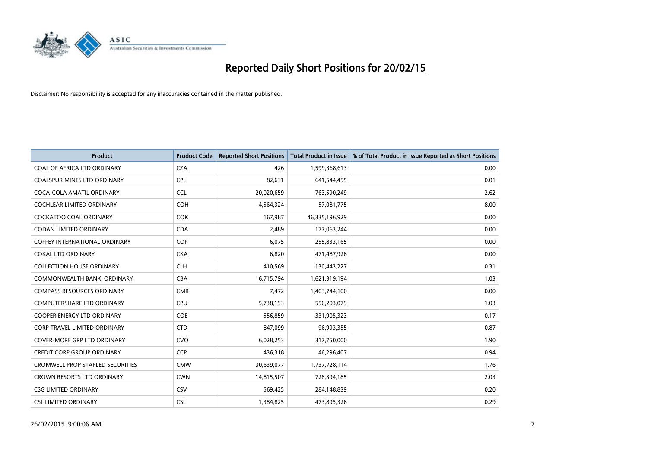

| <b>Product</b>                          | <b>Product Code</b> | <b>Reported Short Positions</b> | <b>Total Product in Issue</b> | % of Total Product in Issue Reported as Short Positions |
|-----------------------------------------|---------------------|---------------------------------|-------------------------------|---------------------------------------------------------|
| COAL OF AFRICA LTD ORDINARY             | <b>CZA</b>          | 426                             | 1,599,368,613                 | 0.00                                                    |
| <b>COALSPUR MINES LTD ORDINARY</b>      | <b>CPL</b>          | 82,631                          | 641,544,455                   | 0.01                                                    |
| COCA-COLA AMATIL ORDINARY               | <b>CCL</b>          | 20,020,659                      | 763,590,249                   | 2.62                                                    |
| COCHLEAR LIMITED ORDINARY               | <b>COH</b>          | 4,564,324                       | 57,081,775                    | 8.00                                                    |
| <b>COCKATOO COAL ORDINARY</b>           | <b>COK</b>          | 167,987                         | 46,335,196,929                | 0.00                                                    |
| <b>CODAN LIMITED ORDINARY</b>           | <b>CDA</b>          | 2,489                           | 177,063,244                   | 0.00                                                    |
| <b>COFFEY INTERNATIONAL ORDINARY</b>    | <b>COF</b>          | 6,075                           | 255,833,165                   | 0.00                                                    |
| <b>COKAL LTD ORDINARY</b>               | <b>CKA</b>          | 6,820                           | 471,487,926                   | 0.00                                                    |
| <b>COLLECTION HOUSE ORDINARY</b>        | <b>CLH</b>          | 410,569                         | 130,443,227                   | 0.31                                                    |
| COMMONWEALTH BANK, ORDINARY             | <b>CBA</b>          | 16,715,794                      | 1,621,319,194                 | 1.03                                                    |
| <b>COMPASS RESOURCES ORDINARY</b>       | <b>CMR</b>          | 7,472                           | 1,403,744,100                 | 0.00                                                    |
| <b>COMPUTERSHARE LTD ORDINARY</b>       | <b>CPU</b>          | 5,738,193                       | 556,203,079                   | 1.03                                                    |
| COOPER ENERGY LTD ORDINARY              | <b>COE</b>          | 556,859                         | 331,905,323                   | 0.17                                                    |
| <b>CORP TRAVEL LIMITED ORDINARY</b>     | <b>CTD</b>          | 847,099                         | 96,993,355                    | 0.87                                                    |
| <b>COVER-MORE GRP LTD ORDINARY</b>      | <b>CVO</b>          | 6,028,253                       | 317,750,000                   | 1.90                                                    |
| <b>CREDIT CORP GROUP ORDINARY</b>       | <b>CCP</b>          | 436,318                         | 46,296,407                    | 0.94                                                    |
| <b>CROMWELL PROP STAPLED SECURITIES</b> | <b>CMW</b>          | 30,639,077                      | 1,737,728,114                 | 1.76                                                    |
| CROWN RESORTS LTD ORDINARY              | <b>CWN</b>          | 14,815,507                      | 728,394,185                   | 2.03                                                    |
| <b>CSG LIMITED ORDINARY</b>             | CSV                 | 569,425                         | 284,148,839                   | 0.20                                                    |
| <b>CSL LIMITED ORDINARY</b>             | <b>CSL</b>          | 1,384,825                       | 473,895,326                   | 0.29                                                    |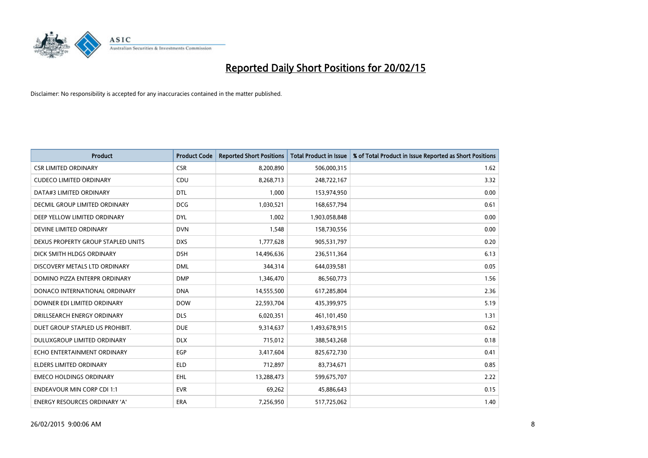

| <b>Product</b>                     | <b>Product Code</b> | <b>Reported Short Positions</b> | <b>Total Product in Issue</b> | % of Total Product in Issue Reported as Short Positions |
|------------------------------------|---------------------|---------------------------------|-------------------------------|---------------------------------------------------------|
| <b>CSR LIMITED ORDINARY</b>        | <b>CSR</b>          | 8,200,890                       | 506,000,315                   | 1.62                                                    |
| <b>CUDECO LIMITED ORDINARY</b>     | <b>CDU</b>          | 8,268,713                       | 248,722,167                   | 3.32                                                    |
| DATA#3 LIMITED ORDINARY            | <b>DTL</b>          | 1,000                           | 153,974,950                   | 0.00                                                    |
| DECMIL GROUP LIMITED ORDINARY      | <b>DCG</b>          | 1,030,521                       | 168,657,794                   | 0.61                                                    |
| DEEP YELLOW LIMITED ORDINARY       | <b>DYL</b>          | 1,002                           | 1,903,058,848                 | 0.00                                                    |
| DEVINE LIMITED ORDINARY            | <b>DVN</b>          | 1,548                           | 158,730,556                   | 0.00                                                    |
| DEXUS PROPERTY GROUP STAPLED UNITS | <b>DXS</b>          | 1,777,628                       | 905,531,797                   | 0.20                                                    |
| DICK SMITH HLDGS ORDINARY          | <b>DSH</b>          | 14,496,636                      | 236,511,364                   | 6.13                                                    |
| DISCOVERY METALS LTD ORDINARY      | <b>DML</b>          | 344.314                         | 644,039,581                   | 0.05                                                    |
| DOMINO PIZZA ENTERPR ORDINARY      | <b>DMP</b>          | 1,346,470                       | 86,560,773                    | 1.56                                                    |
| DONACO INTERNATIONAL ORDINARY      | <b>DNA</b>          | 14,555,500                      | 617,285,804                   | 2.36                                                    |
| DOWNER EDI LIMITED ORDINARY        | <b>DOW</b>          | 22,593,704                      | 435,399,975                   | 5.19                                                    |
| DRILLSEARCH ENERGY ORDINARY        | <b>DLS</b>          | 6,020,351                       | 461,101,450                   | 1.31                                                    |
| DUET GROUP STAPLED US PROHIBIT.    | <b>DUE</b>          | 9,314,637                       | 1,493,678,915                 | 0.62                                                    |
| DULUXGROUP LIMITED ORDINARY        | <b>DLX</b>          | 715,012                         | 388,543,268                   | 0.18                                                    |
| ECHO ENTERTAINMENT ORDINARY        | EGP                 | 3,417,604                       | 825,672,730                   | 0.41                                                    |
| ELDERS LIMITED ORDINARY            | <b>ELD</b>          | 712,897                         | 83,734,671                    | 0.85                                                    |
| <b>EMECO HOLDINGS ORDINARY</b>     | <b>EHL</b>          | 13,288,473                      | 599,675,707                   | 2.22                                                    |
| <b>ENDEAVOUR MIN CORP CDI 1:1</b>  | <b>EVR</b>          | 69,262                          | 45,886,643                    | 0.15                                                    |
| ENERGY RESOURCES ORDINARY 'A'      | ERA                 | 7,256,950                       | 517,725,062                   | 1.40                                                    |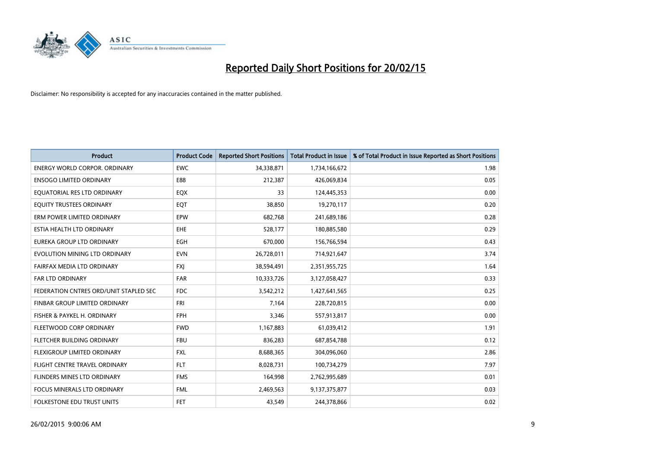

| <b>Product</b>                         | <b>Product Code</b> | <b>Reported Short Positions</b> | <b>Total Product in Issue</b> | % of Total Product in Issue Reported as Short Positions |
|----------------------------------------|---------------------|---------------------------------|-------------------------------|---------------------------------------------------------|
| <b>ENERGY WORLD CORPOR, ORDINARY</b>   | <b>EWC</b>          | 34,338,871                      | 1,734,166,672                 | 1.98                                                    |
| <b>ENSOGO LIMITED ORDINARY</b>         | E88                 | 212,387                         | 426,069,834                   | 0.05                                                    |
| EQUATORIAL RES LTD ORDINARY            | EQX                 | 33                              | 124,445,353                   | 0.00                                                    |
| EQUITY TRUSTEES ORDINARY               | EQT                 | 38,850                          | 19,270,117                    | 0.20                                                    |
| ERM POWER LIMITED ORDINARY             | EPW                 | 682,768                         | 241,689,186                   | 0.28                                                    |
| ESTIA HEALTH LTD ORDINARY              | <b>EHE</b>          | 528,177                         | 180,885,580                   | 0.29                                                    |
| EUREKA GROUP LTD ORDINARY              | <b>EGH</b>          | 670,000                         | 156,766,594                   | 0.43                                                    |
| EVOLUTION MINING LTD ORDINARY          | <b>EVN</b>          | 26,728,011                      | 714,921,647                   | 3.74                                                    |
| FAIRFAX MEDIA LTD ORDINARY             | <b>FXI</b>          | 38,594,491                      | 2,351,955,725                 | 1.64                                                    |
| <b>FAR LTD ORDINARY</b>                | <b>FAR</b>          | 10,333,726                      | 3,127,058,427                 | 0.33                                                    |
| FEDERATION CNTRES ORD/UNIT STAPLED SEC | <b>FDC</b>          | 3,542,212                       | 1,427,641,565                 | 0.25                                                    |
| FINBAR GROUP LIMITED ORDINARY          | <b>FRI</b>          | 7,164                           | 228,720,815                   | 0.00                                                    |
| FISHER & PAYKEL H. ORDINARY            | <b>FPH</b>          | 3,346                           | 557,913,817                   | 0.00                                                    |
| FLEETWOOD CORP ORDINARY                | <b>FWD</b>          | 1,167,883                       | 61,039,412                    | 1.91                                                    |
| FLETCHER BUILDING ORDINARY             | <b>FBU</b>          | 836,283                         | 687,854,788                   | 0.12                                                    |
| FLEXIGROUP LIMITED ORDINARY            | <b>FXL</b>          | 8,688,365                       | 304,096,060                   | 2.86                                                    |
| FLIGHT CENTRE TRAVEL ORDINARY          | <b>FLT</b>          | 8,028,731                       | 100,734,279                   | 7.97                                                    |
| FLINDERS MINES LTD ORDINARY            | <b>FMS</b>          | 164,998                         | 2,762,995,689                 | 0.01                                                    |
| <b>FOCUS MINERALS LTD ORDINARY</b>     | <b>FML</b>          | 2,469,563                       | 9,137,375,877                 | 0.03                                                    |
| FOLKESTONE EDU TRUST UNITS             | <b>FET</b>          | 43,549                          | 244,378,866                   | 0.02                                                    |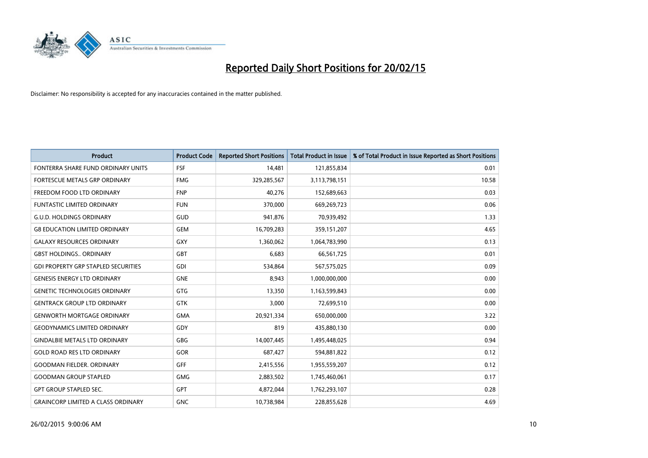

| <b>Product</b>                             | <b>Product Code</b> | <b>Reported Short Positions</b> | <b>Total Product in Issue</b> | % of Total Product in Issue Reported as Short Positions |
|--------------------------------------------|---------------------|---------------------------------|-------------------------------|---------------------------------------------------------|
| FONTERRA SHARE FUND ORDINARY UNITS         | <b>FSF</b>          | 14,481                          | 121,855,834                   | 0.01                                                    |
| FORTESCUE METALS GRP ORDINARY              | <b>FMG</b>          | 329,285,567                     | 3,113,798,151                 | 10.58                                                   |
| FREEDOM FOOD LTD ORDINARY                  | <b>FNP</b>          | 40,276                          | 152,689,663                   | 0.03                                                    |
| <b>FUNTASTIC LIMITED ORDINARY</b>          | <b>FUN</b>          | 370,000                         | 669,269,723                   | 0.06                                                    |
| <b>G.U.D. HOLDINGS ORDINARY</b>            | GUD                 | 941,876                         | 70,939,492                    | 1.33                                                    |
| <b>G8 EDUCATION LIMITED ORDINARY</b>       | <b>GEM</b>          | 16,709,283                      | 359,151,207                   | 4.65                                                    |
| <b>GALAXY RESOURCES ORDINARY</b>           | <b>GXY</b>          | 1,360,062                       | 1,064,783,990                 | 0.13                                                    |
| <b>GBST HOLDINGS ORDINARY</b>              | <b>GBT</b>          | 6,683                           | 66,561,725                    | 0.01                                                    |
| <b>GDI PROPERTY GRP STAPLED SECURITIES</b> | GDI                 | 534,864                         | 567,575,025                   | 0.09                                                    |
| <b>GENESIS ENERGY LTD ORDINARY</b>         | <b>GNE</b>          | 8,943                           | 1,000,000,000                 | 0.00                                                    |
| <b>GENETIC TECHNOLOGIES ORDINARY</b>       | <b>GTG</b>          | 13,350                          | 1,163,599,843                 | 0.00                                                    |
| <b>GENTRACK GROUP LTD ORDINARY</b>         | <b>GTK</b>          | 3,000                           | 72,699,510                    | 0.00                                                    |
| <b>GENWORTH MORTGAGE ORDINARY</b>          | <b>GMA</b>          | 20,921,334                      | 650,000,000                   | 3.22                                                    |
| <b>GEODYNAMICS LIMITED ORDINARY</b>        | GDY                 | 819                             | 435,880,130                   | 0.00                                                    |
| <b>GINDALBIE METALS LTD ORDINARY</b>       | <b>GBG</b>          | 14,007,445                      | 1,495,448,025                 | 0.94                                                    |
| <b>GOLD ROAD RES LTD ORDINARY</b>          | GOR                 | 687,427                         | 594,881,822                   | 0.12                                                    |
| <b>GOODMAN FIELDER. ORDINARY</b>           | GFF                 | 2,415,556                       | 1,955,559,207                 | 0.12                                                    |
| <b>GOODMAN GROUP STAPLED</b>               | <b>GMG</b>          | 2,883,502                       | 1,745,460,061                 | 0.17                                                    |
| <b>GPT GROUP STAPLED SEC.</b>              | <b>GPT</b>          | 4,872,044                       | 1,762,293,107                 | 0.28                                                    |
| <b>GRAINCORP LIMITED A CLASS ORDINARY</b>  | <b>GNC</b>          | 10,738,984                      | 228,855,628                   | 4.69                                                    |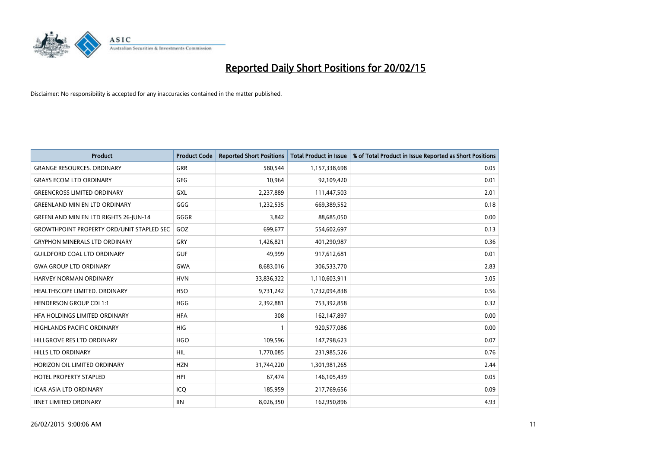

| <b>Product</b>                                   | <b>Product Code</b> | <b>Reported Short Positions</b> | <b>Total Product in Issue</b> | % of Total Product in Issue Reported as Short Positions |
|--------------------------------------------------|---------------------|---------------------------------|-------------------------------|---------------------------------------------------------|
| <b>GRANGE RESOURCES, ORDINARY</b>                | GRR                 | 580,544                         | 1,157,338,698                 | 0.05                                                    |
| <b>GRAYS ECOM LTD ORDINARY</b>                   | <b>GEG</b>          | 10,964                          | 92,109,420                    | 0.01                                                    |
| <b>GREENCROSS LIMITED ORDINARY</b>               | GXL                 | 2,237,889                       | 111,447,503                   | 2.01                                                    |
| <b>GREENLAND MIN EN LTD ORDINARY</b>             | GGG                 | 1,232,535                       | 669,389,552                   | 0.18                                                    |
| <b>GREENLAND MIN EN LTD RIGHTS 26-JUN-14</b>     | GGGR                | 3,842                           | 88,685,050                    | 0.00                                                    |
| <b>GROWTHPOINT PROPERTY ORD/UNIT STAPLED SEC</b> | GOZ                 | 699,677                         | 554,602,697                   | 0.13                                                    |
| <b>GRYPHON MINERALS LTD ORDINARY</b>             | GRY                 | 1,426,821                       | 401,290,987                   | 0.36                                                    |
| <b>GUILDFORD COAL LTD ORDINARY</b>               | <b>GUF</b>          | 49,999                          | 917,612,681                   | 0.01                                                    |
| <b>GWA GROUP LTD ORDINARY</b>                    | <b>GWA</b>          | 8,683,016                       | 306,533,770                   | 2.83                                                    |
| <b>HARVEY NORMAN ORDINARY</b>                    | <b>HVN</b>          | 33,836,322                      | 1,110,603,911                 | 3.05                                                    |
| HEALTHSCOPE LIMITED. ORDINARY                    | <b>HSO</b>          | 9,731,242                       | 1,732,094,838                 | 0.56                                                    |
| <b>HENDERSON GROUP CDI 1:1</b>                   | <b>HGG</b>          | 2,392,881                       | 753,392,858                   | 0.32                                                    |
| HFA HOLDINGS LIMITED ORDINARY                    | <b>HFA</b>          | 308                             | 162,147,897                   | 0.00                                                    |
| <b>HIGHLANDS PACIFIC ORDINARY</b>                | <b>HIG</b>          | 1                               | 920,577,086                   | 0.00                                                    |
| HILLGROVE RES LTD ORDINARY                       | <b>HGO</b>          | 109,596                         | 147,798,623                   | 0.07                                                    |
| HILLS LTD ORDINARY                               | <b>HIL</b>          | 1,770,085                       | 231,985,526                   | 0.76                                                    |
| HORIZON OIL LIMITED ORDINARY                     | <b>HZN</b>          | 31,744,220                      | 1,301,981,265                 | 2.44                                                    |
| HOTEL PROPERTY STAPLED                           | HPI                 | 67,474                          | 146, 105, 439                 | 0.05                                                    |
| <b>ICAR ASIA LTD ORDINARY</b>                    | ICQ                 | 185,959                         | 217,769,656                   | 0.09                                                    |
| <b>IINET LIMITED ORDINARY</b>                    | <b>IIN</b>          | 8,026,350                       | 162,950,896                   | 4.93                                                    |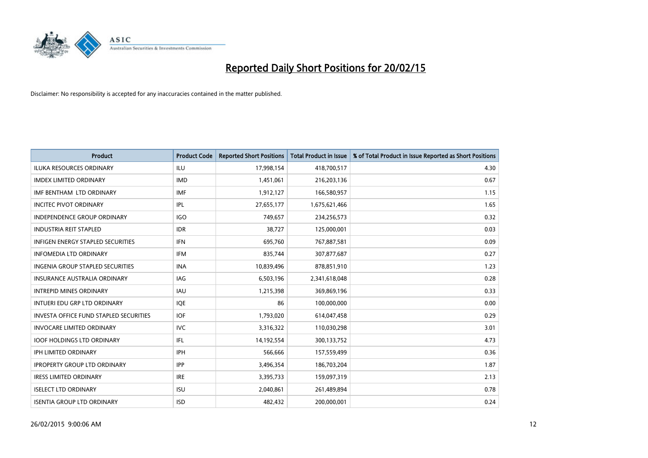

| <b>Product</b>                                | <b>Product Code</b> | <b>Reported Short Positions</b> | <b>Total Product in Issue</b> | % of Total Product in Issue Reported as Short Positions |
|-----------------------------------------------|---------------------|---------------------------------|-------------------------------|---------------------------------------------------------|
| <b>ILUKA RESOURCES ORDINARY</b>               | <b>ILU</b>          | 17,998,154                      | 418,700,517                   | 4.30                                                    |
| <b>IMDEX LIMITED ORDINARY</b>                 | <b>IMD</b>          | 1,451,061                       | 216,203,136                   | 0.67                                                    |
| IMF BENTHAM LTD ORDINARY                      | <b>IMF</b>          | 1,912,127                       | 166,580,957                   | 1.15                                                    |
| <b>INCITEC PIVOT ORDINARY</b>                 | IPL                 | 27,655,177                      | 1,675,621,466                 | 1.65                                                    |
| <b>INDEPENDENCE GROUP ORDINARY</b>            | <b>IGO</b>          | 749,657                         | 234,256,573                   | 0.32                                                    |
| <b>INDUSTRIA REIT STAPLED</b>                 | <b>IDR</b>          | 38,727                          | 125,000,001                   | 0.03                                                    |
| <b>INFIGEN ENERGY STAPLED SECURITIES</b>      | <b>IFN</b>          | 695,760                         | 767,887,581                   | 0.09                                                    |
| <b>INFOMEDIA LTD ORDINARY</b>                 | <b>IFM</b>          | 835,744                         | 307,877,687                   | 0.27                                                    |
| INGENIA GROUP STAPLED SECURITIES              | <b>INA</b>          | 10,839,496                      | 878,851,910                   | 1.23                                                    |
| INSURANCE AUSTRALIA ORDINARY                  | IAG                 | 6,503,196                       | 2,341,618,048                 | 0.28                                                    |
| <b>INTREPID MINES ORDINARY</b>                | <b>IAU</b>          | 1,215,398                       | 369,869,196                   | 0.33                                                    |
| INTUERI EDU GRP LTD ORDINARY                  | <b>IQE</b>          | 86                              | 100,000,000                   | 0.00                                                    |
| <b>INVESTA OFFICE FUND STAPLED SECURITIES</b> | <b>IOF</b>          | 1,793,020                       | 614,047,458                   | 0.29                                                    |
| <b>INVOCARE LIMITED ORDINARY</b>              | <b>IVC</b>          | 3,316,322                       | 110,030,298                   | 3.01                                                    |
| <b>IOOF HOLDINGS LTD ORDINARY</b>             | IFL                 | 14,192,554                      | 300,133,752                   | 4.73                                                    |
| IPH LIMITED ORDINARY                          | IPH                 | 566,666                         | 157,559,499                   | 0.36                                                    |
| <b>IPROPERTY GROUP LTD ORDINARY</b>           | <b>IPP</b>          | 3,496,354                       | 186,703,204                   | 1.87                                                    |
| <b>IRESS LIMITED ORDINARY</b>                 | <b>IRE</b>          | 3,395,733                       | 159,097,319                   | 2.13                                                    |
| <b>ISELECT LTD ORDINARY</b>                   | <b>ISU</b>          | 2,040,861                       | 261,489,894                   | 0.78                                                    |
| <b>ISENTIA GROUP LTD ORDINARY</b>             | <b>ISD</b>          | 482,432                         | 200,000,001                   | 0.24                                                    |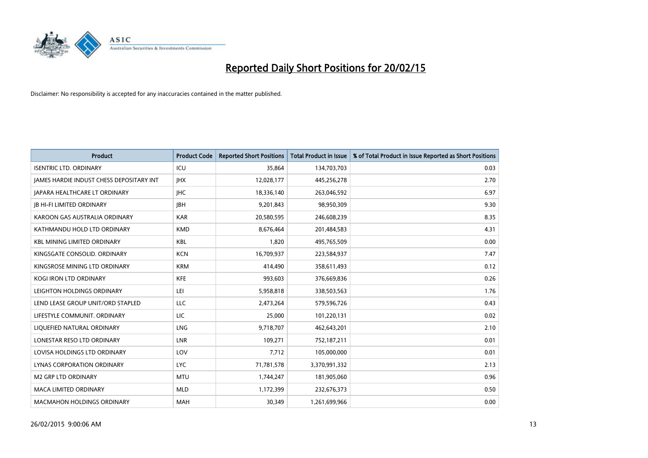

| <b>Product</b>                           | <b>Product Code</b> | <b>Reported Short Positions</b> | <b>Total Product in Issue</b> | % of Total Product in Issue Reported as Short Positions |
|------------------------------------------|---------------------|---------------------------------|-------------------------------|---------------------------------------------------------|
| <b>ISENTRIC LTD. ORDINARY</b>            | ICU                 | 35,864                          | 134,703,703                   | 0.03                                                    |
| JAMES HARDIE INDUST CHESS DEPOSITARY INT | <b>IHX</b>          | 12,028,177                      | 445,256,278                   | 2.70                                                    |
| <b>JAPARA HEALTHCARE LT ORDINARY</b>     | <b>IHC</b>          | 18,336,140                      | 263,046,592                   | 6.97                                                    |
| <b>JB HI-FI LIMITED ORDINARY</b>         | <b>IBH</b>          | 9,201,843                       | 98,950,309                    | 9.30                                                    |
| KAROON GAS AUSTRALIA ORDINARY            | <b>KAR</b>          | 20,580,595                      | 246,608,239                   | 8.35                                                    |
| KATHMANDU HOLD LTD ORDINARY              | <b>KMD</b>          | 8,676,464                       | 201,484,583                   | 4.31                                                    |
| <b>KBL MINING LIMITED ORDINARY</b>       | <b>KBL</b>          | 1,820                           | 495,765,509                   | 0.00                                                    |
| KINGSGATE CONSOLID. ORDINARY             | <b>KCN</b>          | 16,709,937                      | 223,584,937                   | 7.47                                                    |
| KINGSROSE MINING LTD ORDINARY            | <b>KRM</b>          | 414,490                         | 358,611,493                   | 0.12                                                    |
| <b>KOGI IRON LTD ORDINARY</b>            | <b>KFE</b>          | 993,603                         | 376,669,836                   | 0.26                                                    |
| LEIGHTON HOLDINGS ORDINARY               | LEI                 | 5,958,818                       | 338,503,563                   | 1.76                                                    |
| LEND LEASE GROUP UNIT/ORD STAPLED        | LLC                 | 2,473,264                       | 579,596,726                   | 0.43                                                    |
| LIFESTYLE COMMUNIT. ORDINARY             | LIC                 | 25,000                          | 101,220,131                   | 0.02                                                    |
| LIQUEFIED NATURAL ORDINARY               | LNG                 | 9,718,707                       | 462,643,201                   | 2.10                                                    |
| LONESTAR RESO LTD ORDINARY               | <b>LNR</b>          | 109,271                         | 752,187,211                   | 0.01                                                    |
| LOVISA HOLDINGS LTD ORDINARY             | LOV                 | 7,712                           | 105,000,000                   | 0.01                                                    |
| LYNAS CORPORATION ORDINARY               | <b>LYC</b>          | 71,781,578                      | 3,370,991,332                 | 2.13                                                    |
| <b>M2 GRP LTD ORDINARY</b>               | <b>MTU</b>          | 1,744,247                       | 181,905,060                   | 0.96                                                    |
| <b>MACA LIMITED ORDINARY</b>             | <b>MLD</b>          | 1,172,399                       | 232,676,373                   | 0.50                                                    |
| <b>MACMAHON HOLDINGS ORDINARY</b>        | <b>MAH</b>          | 30,349                          | 1,261,699,966                 | 0.00                                                    |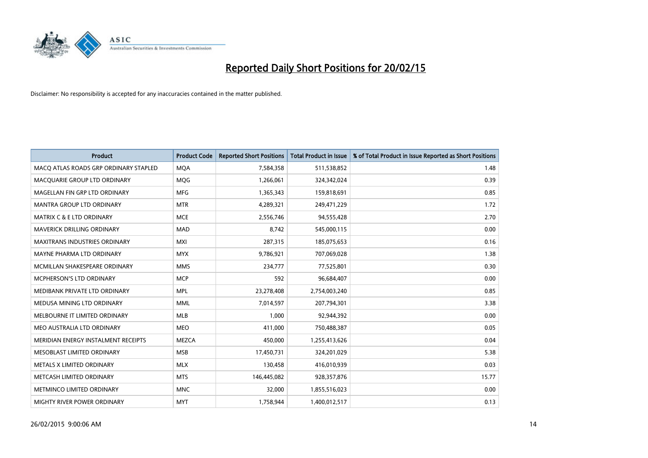

| <b>Product</b>                        | <b>Product Code</b> | <b>Reported Short Positions</b> | <b>Total Product in Issue</b> | % of Total Product in Issue Reported as Short Positions |
|---------------------------------------|---------------------|---------------------------------|-------------------------------|---------------------------------------------------------|
| MACO ATLAS ROADS GRP ORDINARY STAPLED | <b>MQA</b>          | 7,584,358                       | 511,538,852                   | 1.48                                                    |
| MACQUARIE GROUP LTD ORDINARY          | MQG                 | 1,266,061                       | 324,342,024                   | 0.39                                                    |
| MAGELLAN FIN GRP LTD ORDINARY         | <b>MFG</b>          | 1,365,343                       | 159,818,691                   | 0.85                                                    |
| <b>MANTRA GROUP LTD ORDINARY</b>      | <b>MTR</b>          | 4,289,321                       | 249,471,229                   | 1.72                                                    |
| <b>MATRIX C &amp; E LTD ORDINARY</b>  | <b>MCE</b>          | 2,556,746                       | 94,555,428                    | 2.70                                                    |
| MAVERICK DRILLING ORDINARY            | <b>MAD</b>          | 8,742                           | 545,000,115                   | 0.00                                                    |
| <b>MAXITRANS INDUSTRIES ORDINARY</b>  | <b>MXI</b>          | 287,315                         | 185,075,653                   | 0.16                                                    |
| MAYNE PHARMA LTD ORDINARY             | <b>MYX</b>          | 9,786,921                       | 707,069,028                   | 1.38                                                    |
| MCMILLAN SHAKESPEARE ORDINARY         | <b>MMS</b>          | 234,777                         | 77,525,801                    | 0.30                                                    |
| MCPHERSON'S LTD ORDINARY              | <b>MCP</b>          | 592                             | 96,684,407                    | 0.00                                                    |
| MEDIBANK PRIVATE LTD ORDINARY         | <b>MPL</b>          | 23,278,408                      | 2,754,003,240                 | 0.85                                                    |
| MEDUSA MINING LTD ORDINARY            | <b>MML</b>          | 7,014,597                       | 207,794,301                   | 3.38                                                    |
| MELBOURNE IT LIMITED ORDINARY         | <b>MLB</b>          | 1,000                           | 92,944,392                    | 0.00                                                    |
| MEO AUSTRALIA LTD ORDINARY            | <b>MEO</b>          | 411,000                         | 750,488,387                   | 0.05                                                    |
| MERIDIAN ENERGY INSTALMENT RECEIPTS   | MEZCA               | 450,000                         | 1,255,413,626                 | 0.04                                                    |
| MESOBLAST LIMITED ORDINARY            | <b>MSB</b>          | 17,450,731                      | 324,201,029                   | 5.38                                                    |
| METALS X LIMITED ORDINARY             | <b>MLX</b>          | 130,458                         | 416,010,939                   | 0.03                                                    |
| METCASH LIMITED ORDINARY              | <b>MTS</b>          | 146,445,082                     | 928,357,876                   | 15.77                                                   |
| METMINCO LIMITED ORDINARY             | <b>MNC</b>          | 32,000                          | 1,855,516,023                 | 0.00                                                    |
| MIGHTY RIVER POWER ORDINARY           | <b>MYT</b>          | 1,758,944                       | 1,400,012,517                 | 0.13                                                    |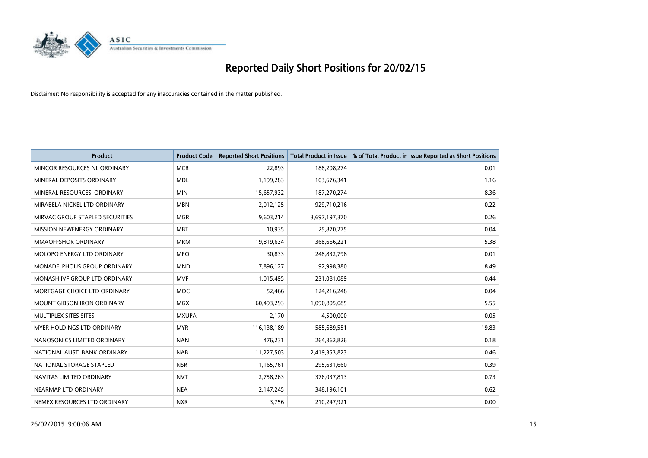

| <b>Product</b>                    | <b>Product Code</b> | <b>Reported Short Positions</b> | <b>Total Product in Issue</b> | % of Total Product in Issue Reported as Short Positions |
|-----------------------------------|---------------------|---------------------------------|-------------------------------|---------------------------------------------------------|
| MINCOR RESOURCES NL ORDINARY      | <b>MCR</b>          | 22,893                          | 188,208,274                   | 0.01                                                    |
| MINERAL DEPOSITS ORDINARY         | <b>MDL</b>          | 1,199,283                       | 103,676,341                   | 1.16                                                    |
| MINERAL RESOURCES. ORDINARY       | <b>MIN</b>          | 15,657,932                      | 187,270,274                   | 8.36                                                    |
| MIRABELA NICKEL LTD ORDINARY      | <b>MBN</b>          | 2,012,125                       | 929,710,216                   | 0.22                                                    |
| MIRVAC GROUP STAPLED SECURITIES   | <b>MGR</b>          | 9,603,214                       | 3,697,197,370                 | 0.26                                                    |
| MISSION NEWENERGY ORDINARY        | <b>MBT</b>          | 10,935                          | 25,870,275                    | 0.04                                                    |
| <b>MMAOFFSHOR ORDINARY</b>        | <b>MRM</b>          | 19,819,634                      | 368,666,221                   | 5.38                                                    |
| MOLOPO ENERGY LTD ORDINARY        | <b>MPO</b>          | 30,833                          | 248,832,798                   | 0.01                                                    |
| MONADELPHOUS GROUP ORDINARY       | <b>MND</b>          | 7,896,127                       | 92,998,380                    | 8.49                                                    |
| MONASH IVF GROUP LTD ORDINARY     | <b>MVF</b>          | 1,015,495                       | 231,081,089                   | 0.44                                                    |
| MORTGAGE CHOICE LTD ORDINARY      | MOC                 | 52,466                          | 124,216,248                   | 0.04                                                    |
| <b>MOUNT GIBSON IRON ORDINARY</b> | <b>MGX</b>          | 60,493,293                      | 1,090,805,085                 | 5.55                                                    |
| MULTIPLEX SITES SITES             | <b>MXUPA</b>        | 2,170                           | 4,500,000                     | 0.05                                                    |
| MYER HOLDINGS LTD ORDINARY        | <b>MYR</b>          | 116,138,189                     | 585,689,551                   | 19.83                                                   |
| NANOSONICS LIMITED ORDINARY       | <b>NAN</b>          | 476,231                         | 264,362,826                   | 0.18                                                    |
| NATIONAL AUST. BANK ORDINARY      | <b>NAB</b>          | 11,227,503                      | 2,419,353,823                 | 0.46                                                    |
| NATIONAL STORAGE STAPLED          | <b>NSR</b>          | 1,165,761                       | 295,631,660                   | 0.39                                                    |
| NAVITAS LIMITED ORDINARY          | <b>NVT</b>          | 2,758,263                       | 376,037,813                   | 0.73                                                    |
| NEARMAP LTD ORDINARY              | <b>NEA</b>          | 2,147,245                       | 348,196,101                   | 0.62                                                    |
| NEMEX RESOURCES LTD ORDINARY      | <b>NXR</b>          | 3,756                           | 210,247,921                   | 0.00                                                    |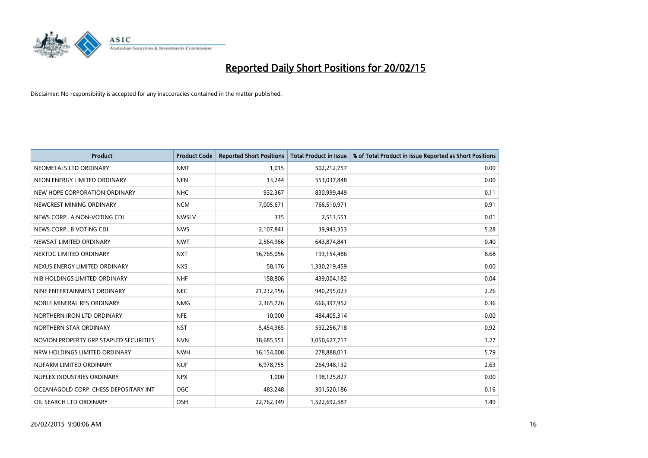

| <b>Product</b>                         | <b>Product Code</b> | <b>Reported Short Positions</b> | <b>Total Product in Issue</b> | % of Total Product in Issue Reported as Short Positions |
|----------------------------------------|---------------------|---------------------------------|-------------------------------|---------------------------------------------------------|
| NEOMETALS LTD ORDINARY                 | <b>NMT</b>          | 1,015                           | 502,212,757                   | 0.00                                                    |
| NEON ENERGY LIMITED ORDINARY           | <b>NEN</b>          | 13,244                          | 553,037,848                   | 0.00                                                    |
| NEW HOPE CORPORATION ORDINARY          | <b>NHC</b>          | 932,367                         | 830,999,449                   | 0.11                                                    |
| NEWCREST MINING ORDINARY               | <b>NCM</b>          | 7,005,671                       | 766,510,971                   | 0.91                                                    |
| NEWS CORP A NON-VOTING CDI             | <b>NWSLV</b>        | 335                             | 2,513,551                     | 0.01                                                    |
| NEWS CORP B VOTING CDI                 | <b>NWS</b>          | 2,107,841                       | 39,943,353                    | 5.28                                                    |
| NEWSAT LIMITED ORDINARY                | <b>NWT</b>          | 2,564,966                       | 643,874,841                   | 0.40                                                    |
| NEXTDC LIMITED ORDINARY                | <b>NXT</b>          | 16,765,056                      | 193,154,486                   | 8.68                                                    |
| NEXUS ENERGY LIMITED ORDINARY          | <b>NXS</b>          | 58,176                          | 1,330,219,459                 | 0.00                                                    |
| NIB HOLDINGS LIMITED ORDINARY          | <b>NHF</b>          | 158,806                         | 439,004,182                   | 0.04                                                    |
| NINE ENTERTAINMENT ORDINARY            | <b>NEC</b>          | 21,232,156                      | 940,295,023                   | 2.26                                                    |
| NOBLE MINERAL RES ORDINARY             | <b>NMG</b>          | 2,365,726                       | 666,397,952                   | 0.36                                                    |
| NORTHERN IRON LTD ORDINARY             | <b>NFE</b>          | 10,000                          | 484,405,314                   | 0.00                                                    |
| NORTHERN STAR ORDINARY                 | <b>NST</b>          | 5,454,965                       | 592,256,718                   | 0.92                                                    |
| NOVION PROPERTY GRP STAPLED SECURITIES | <b>NVN</b>          | 38,685,551                      | 3,050,627,717                 | 1.27                                                    |
| NRW HOLDINGS LIMITED ORDINARY          | <b>NWH</b>          | 16,154,008                      | 278,888,011                   | 5.79                                                    |
| NUFARM LIMITED ORDINARY                | <b>NUF</b>          | 6,978,755                       | 264,948,132                   | 2.63                                                    |
| NUPLEX INDUSTRIES ORDINARY             | <b>NPX</b>          | 1,000                           | 198,125,827                   | 0.00                                                    |
| OCEANAGOLD CORP. CHESS DEPOSITARY INT  | <b>OGC</b>          | 483,248                         | 301,520,186                   | 0.16                                                    |
| OIL SEARCH LTD ORDINARY                | OSH                 | 22,762,349                      | 1,522,692,587                 | 1.49                                                    |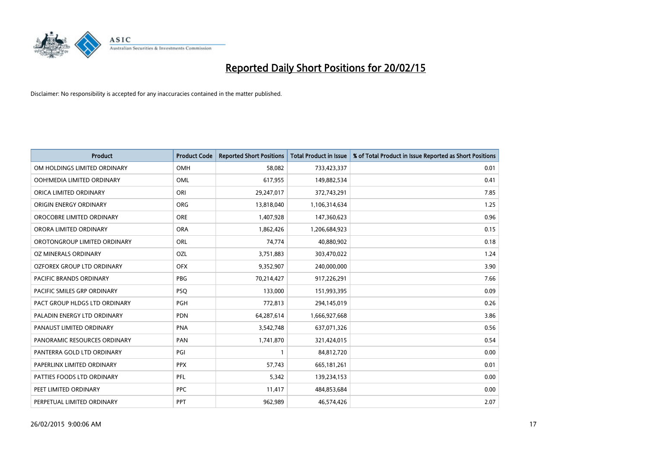

| <b>Product</b>                 | <b>Product Code</b> | <b>Reported Short Positions</b> | <b>Total Product in Issue</b> | % of Total Product in Issue Reported as Short Positions |
|--------------------------------|---------------------|---------------------------------|-------------------------------|---------------------------------------------------------|
| OM HOLDINGS LIMITED ORDINARY   | OMH                 | 58,082                          | 733,423,337                   | 0.01                                                    |
| OOH!MEDIA LIMITED ORDINARY     | OML                 | 617,955                         | 149,882,534                   | 0.41                                                    |
| ORICA LIMITED ORDINARY         | ORI                 | 29,247,017                      | 372,743,291                   | 7.85                                                    |
| ORIGIN ENERGY ORDINARY         | <b>ORG</b>          | 13,818,040                      | 1,106,314,634                 | 1.25                                                    |
| OROCOBRE LIMITED ORDINARY      | <b>ORE</b>          | 1,407,928                       | 147,360,623                   | 0.96                                                    |
| ORORA LIMITED ORDINARY         | <b>ORA</b>          | 1,862,426                       | 1,206,684,923                 | 0.15                                                    |
| OROTONGROUP LIMITED ORDINARY   | ORL                 | 74,774                          | 40,880,902                    | 0.18                                                    |
| OZ MINERALS ORDINARY           | OZL                 | 3,751,883                       | 303,470,022                   | 1.24                                                    |
| OZFOREX GROUP LTD ORDINARY     | <b>OFX</b>          | 9,352,907                       | 240,000,000                   | 3.90                                                    |
| <b>PACIFIC BRANDS ORDINARY</b> | <b>PBG</b>          | 70,214,427                      | 917,226,291                   | 7.66                                                    |
| PACIFIC SMILES GRP ORDINARY    | <b>PSQ</b>          | 133,000                         | 151,993,395                   | 0.09                                                    |
| PACT GROUP HLDGS LTD ORDINARY  | <b>PGH</b>          | 772,813                         | 294,145,019                   | 0.26                                                    |
| PALADIN ENERGY LTD ORDINARY    | <b>PDN</b>          | 64,287,614                      | 1,666,927,668                 | 3.86                                                    |
| PANAUST LIMITED ORDINARY       | <b>PNA</b>          | 3,542,748                       | 637,071,326                   | 0.56                                                    |
| PANORAMIC RESOURCES ORDINARY   | PAN                 | 1,741,870                       | 321,424,015                   | 0.54                                                    |
| PANTERRA GOLD LTD ORDINARY     | PGI                 | 1                               | 84,812,720                    | 0.00                                                    |
| PAPERLINX LIMITED ORDINARY     | <b>PPX</b>          | 57,743                          | 665, 181, 261                 | 0.01                                                    |
| PATTIES FOODS LTD ORDINARY     | PFL                 | 5,342                           | 139,234,153                   | 0.00                                                    |
| PEET LIMITED ORDINARY          | <b>PPC</b>          | 11,417                          | 484,853,684                   | 0.00                                                    |
| PERPETUAL LIMITED ORDINARY     | PPT                 | 962,989                         | 46,574,426                    | 2.07                                                    |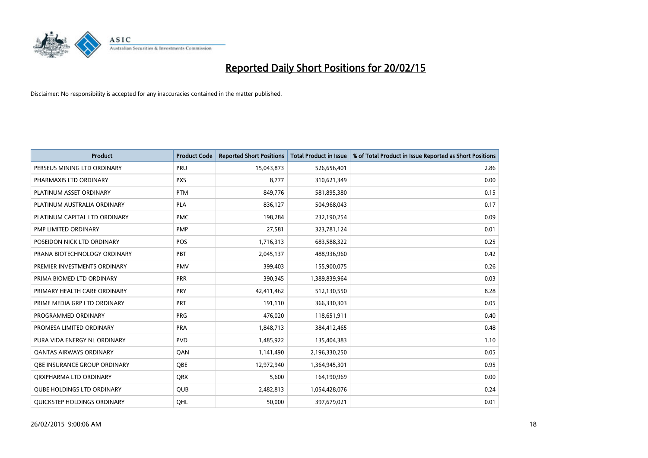

| <b>Product</b>                    | <b>Product Code</b> | <b>Reported Short Positions</b> | <b>Total Product in Issue</b> | % of Total Product in Issue Reported as Short Positions |
|-----------------------------------|---------------------|---------------------------------|-------------------------------|---------------------------------------------------------|
| PERSEUS MINING LTD ORDINARY       | PRU                 | 15,043,873                      | 526,656,401                   | 2.86                                                    |
| PHARMAXIS LTD ORDINARY            | <b>PXS</b>          | 8,777                           | 310,621,349                   | 0.00                                                    |
| PLATINUM ASSET ORDINARY           | <b>PTM</b>          | 849,776                         | 581,895,380                   | 0.15                                                    |
| PLATINUM AUSTRALIA ORDINARY       | PLA                 | 836,127                         | 504,968,043                   | 0.17                                                    |
| PLATINUM CAPITAL LTD ORDINARY     | <b>PMC</b>          | 198,284                         | 232,190,254                   | 0.09                                                    |
| PMP LIMITED ORDINARY              | <b>PMP</b>          | 27,581                          | 323,781,124                   | 0.01                                                    |
| POSEIDON NICK LTD ORDINARY        | <b>POS</b>          | 1,716,313                       | 683,588,322                   | 0.25                                                    |
| PRANA BIOTECHNOLOGY ORDINARY      | PBT                 | 2,045,137                       | 488,936,960                   | 0.42                                                    |
| PREMIER INVESTMENTS ORDINARY      | <b>PMV</b>          | 399,403                         | 155,900,075                   | 0.26                                                    |
| PRIMA BIOMED LTD ORDINARY         | <b>PRR</b>          | 390,345                         | 1,389,839,964                 | 0.03                                                    |
| PRIMARY HEALTH CARE ORDINARY      | <b>PRY</b>          | 42,411,462                      | 512,130,550                   | 8.28                                                    |
| PRIME MEDIA GRP LTD ORDINARY      | <b>PRT</b>          | 191,110                         | 366,330,303                   | 0.05                                                    |
| PROGRAMMED ORDINARY               | <b>PRG</b>          | 476,020                         | 118,651,911                   | 0.40                                                    |
| PROMESA LIMITED ORDINARY          | <b>PRA</b>          | 1,848,713                       | 384,412,465                   | 0.48                                                    |
| PURA VIDA ENERGY NL ORDINARY      | <b>PVD</b>          | 1,485,922                       | 135,404,383                   | 1.10                                                    |
| <b>QANTAS AIRWAYS ORDINARY</b>    | QAN                 | 1,141,490                       | 2,196,330,250                 | 0.05                                                    |
| OBE INSURANCE GROUP ORDINARY      | QBE                 | 12,972,940                      | 1,364,945,301                 | 0.95                                                    |
| ORXPHARMA LTD ORDINARY            | <b>QRX</b>          | 5,600                           | 164,190,969                   | 0.00                                                    |
| <b>QUBE HOLDINGS LTD ORDINARY</b> | <b>QUB</b>          | 2,482,813                       | 1,054,428,076                 | 0.24                                                    |
| QUICKSTEP HOLDINGS ORDINARY       | OHL                 | 50,000                          | 397,679,021                   | 0.01                                                    |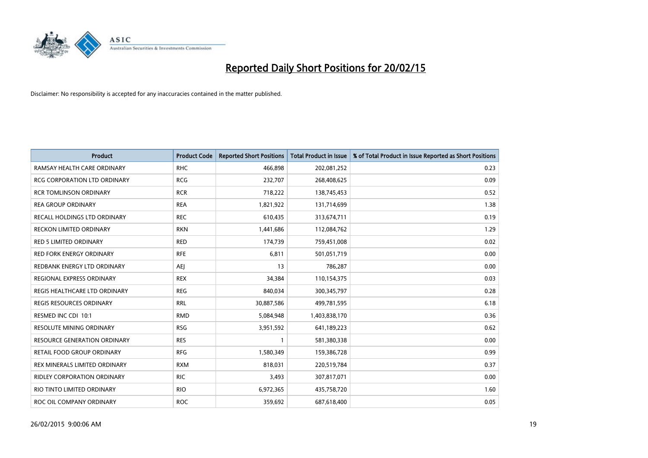

| <b>Product</b>                      | <b>Product Code</b> | <b>Reported Short Positions</b> | <b>Total Product in Issue</b> | % of Total Product in Issue Reported as Short Positions |
|-------------------------------------|---------------------|---------------------------------|-------------------------------|---------------------------------------------------------|
| RAMSAY HEALTH CARE ORDINARY         | <b>RHC</b>          | 466,898                         | 202,081,252                   | 0.23                                                    |
| RCG CORPORATION LTD ORDINARY        | <b>RCG</b>          | 232,707                         | 268,408,625                   | 0.09                                                    |
| <b>RCR TOMLINSON ORDINARY</b>       | <b>RCR</b>          | 718,222                         | 138,745,453                   | 0.52                                                    |
| <b>REA GROUP ORDINARY</b>           | <b>REA</b>          | 1,821,922                       | 131,714,699                   | 1.38                                                    |
| RECALL HOLDINGS LTD ORDINARY        | <b>REC</b>          | 610,435                         | 313,674,711                   | 0.19                                                    |
| <b>RECKON LIMITED ORDINARY</b>      | <b>RKN</b>          | 1,441,686                       | 112,084,762                   | 1.29                                                    |
| <b>RED 5 LIMITED ORDINARY</b>       | <b>RED</b>          | 174,739                         | 759,451,008                   | 0.02                                                    |
| RED FORK ENERGY ORDINARY            | <b>RFE</b>          | 6,811                           | 501,051,719                   | 0.00                                                    |
| REDBANK ENERGY LTD ORDINARY         | AEJ                 | 13                              | 786,287                       | 0.00                                                    |
| REGIONAL EXPRESS ORDINARY           | <b>REX</b>          | 34,384                          | 110,154,375                   | 0.03                                                    |
| REGIS HEALTHCARE LTD ORDINARY       | <b>REG</b>          | 840,034                         | 300, 345, 797                 | 0.28                                                    |
| <b>REGIS RESOURCES ORDINARY</b>     | <b>RRL</b>          | 30,887,586                      | 499,781,595                   | 6.18                                                    |
| RESMED INC CDI 10:1                 | <b>RMD</b>          | 5,084,948                       | 1,403,838,170                 | 0.36                                                    |
| <b>RESOLUTE MINING ORDINARY</b>     | <b>RSG</b>          | 3,951,592                       | 641,189,223                   | 0.62                                                    |
| <b>RESOURCE GENERATION ORDINARY</b> | <b>RES</b>          | 1                               | 581,380,338                   | 0.00                                                    |
| RETAIL FOOD GROUP ORDINARY          | <b>RFG</b>          | 1,580,349                       | 159,386,728                   | 0.99                                                    |
| REX MINERALS LIMITED ORDINARY       | <b>RXM</b>          | 818,031                         | 220,519,784                   | 0.37                                                    |
| RIDLEY CORPORATION ORDINARY         | <b>RIC</b>          | 3,493                           | 307,817,071                   | 0.00                                                    |
| RIO TINTO LIMITED ORDINARY          | <b>RIO</b>          | 6,972,365                       | 435,758,720                   | 1.60                                                    |
| ROC OIL COMPANY ORDINARY            | <b>ROC</b>          | 359,692                         | 687,618,400                   | 0.05                                                    |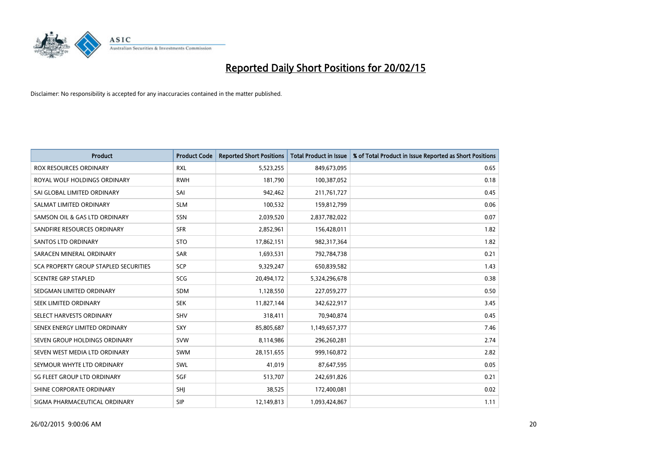

| <b>Product</b>                               | <b>Product Code</b> | <b>Reported Short Positions</b> | <b>Total Product in Issue</b> | % of Total Product in Issue Reported as Short Positions |
|----------------------------------------------|---------------------|---------------------------------|-------------------------------|---------------------------------------------------------|
| <b>ROX RESOURCES ORDINARY</b>                | <b>RXL</b>          | 5,523,255                       | 849,673,095                   | 0.65                                                    |
| ROYAL WOLF HOLDINGS ORDINARY                 | <b>RWH</b>          | 181,790                         | 100,387,052                   | 0.18                                                    |
| SAI GLOBAL LIMITED ORDINARY                  | SAI                 | 942,462                         | 211,761,727                   | 0.45                                                    |
| SALMAT LIMITED ORDINARY                      | <b>SLM</b>          | 100,532                         | 159,812,799                   | 0.06                                                    |
| SAMSON OIL & GAS LTD ORDINARY                | SSN                 | 2,039,520                       | 2,837,782,022                 | 0.07                                                    |
| SANDFIRE RESOURCES ORDINARY                  | <b>SFR</b>          | 2,852,961                       | 156,428,011                   | 1.82                                                    |
| <b>SANTOS LTD ORDINARY</b>                   | <b>STO</b>          | 17,862,151                      | 982,317,364                   | 1.82                                                    |
| SARACEN MINERAL ORDINARY                     | <b>SAR</b>          | 1,693,531                       | 792,784,738                   | 0.21                                                    |
| <b>SCA PROPERTY GROUP STAPLED SECURITIES</b> | <b>SCP</b>          | 9,329,247                       | 650,839,582                   | 1.43                                                    |
| <b>SCENTRE GRP STAPLED</b>                   | <b>SCG</b>          | 20,494,172                      | 5,324,296,678                 | 0.38                                                    |
| SEDGMAN LIMITED ORDINARY                     | SDM                 | 1,128,550                       | 227,059,277                   | 0.50                                                    |
| <b>SEEK LIMITED ORDINARY</b>                 | <b>SEK</b>          | 11,827,144                      | 342,622,917                   | 3.45                                                    |
| SELECT HARVESTS ORDINARY                     | SHV                 | 318,411                         | 70,940,874                    | 0.45                                                    |
| SENEX ENERGY LIMITED ORDINARY                | SXY                 | 85,805,687                      | 1,149,657,377                 | 7.46                                                    |
| SEVEN GROUP HOLDINGS ORDINARY                | <b>SVW</b>          | 8,114,986                       | 296,260,281                   | 2.74                                                    |
| SEVEN WEST MEDIA LTD ORDINARY                | SWM                 | 28,151,655                      | 999,160,872                   | 2.82                                                    |
| SEYMOUR WHYTE LTD ORDINARY                   | SWL                 | 41,019                          | 87,647,595                    | 0.05                                                    |
| SG FLEET GROUP LTD ORDINARY                  | SGF                 | 513,707                         | 242,691,826                   | 0.21                                                    |
| SHINE CORPORATE ORDINARY                     | SHI                 | 38,525                          | 172,400,081                   | 0.02                                                    |
| SIGMA PHARMACEUTICAL ORDINARY                | <b>SIP</b>          | 12,149,813                      | 1,093,424,867                 | 1.11                                                    |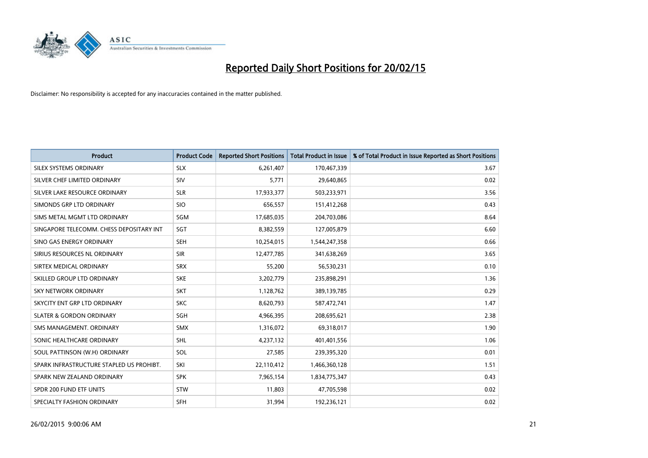

| <b>Product</b>                           | <b>Product Code</b> | <b>Reported Short Positions</b> | <b>Total Product in Issue</b> | % of Total Product in Issue Reported as Short Positions |
|------------------------------------------|---------------------|---------------------------------|-------------------------------|---------------------------------------------------------|
| SILEX SYSTEMS ORDINARY                   | <b>SLX</b>          | 6,261,407                       | 170,467,339                   | 3.67                                                    |
| SILVER CHEF LIMITED ORDINARY             | <b>SIV</b>          | 5,771                           | 29,640,865                    | 0.02                                                    |
| SILVER LAKE RESOURCE ORDINARY            | <b>SLR</b>          | 17,933,377                      | 503,233,971                   | 3.56                                                    |
| SIMONDS GRP LTD ORDINARY                 | <b>SIO</b>          | 656,557                         | 151,412,268                   | 0.43                                                    |
| SIMS METAL MGMT LTD ORDINARY             | SGM                 | 17,685,035                      | 204,703,086                   | 8.64                                                    |
| SINGAPORE TELECOMM. CHESS DEPOSITARY INT | SGT                 | 8,382,559                       | 127,005,879                   | 6.60                                                    |
| SINO GAS ENERGY ORDINARY                 | <b>SEH</b>          | 10,254,015                      | 1,544,247,358                 | 0.66                                                    |
| SIRIUS RESOURCES NL ORDINARY             | <b>SIR</b>          | 12,477,785                      | 341,638,269                   | 3.65                                                    |
| SIRTEX MEDICAL ORDINARY                  | <b>SRX</b>          | 55,200                          | 56,530,231                    | 0.10                                                    |
| SKILLED GROUP LTD ORDINARY               | <b>SKE</b>          | 3,202,779                       | 235,898,291                   | 1.36                                                    |
| SKY NETWORK ORDINARY                     | <b>SKT</b>          | 1,128,762                       | 389,139,785                   | 0.29                                                    |
| SKYCITY ENT GRP LTD ORDINARY             | <b>SKC</b>          | 8,620,793                       | 587,472,741                   | 1.47                                                    |
| <b>SLATER &amp; GORDON ORDINARY</b>      | SGH                 | 4,966,395                       | 208,695,621                   | 2.38                                                    |
| SMS MANAGEMENT, ORDINARY                 | <b>SMX</b>          | 1,316,072                       | 69,318,017                    | 1.90                                                    |
| SONIC HEALTHCARE ORDINARY                | <b>SHL</b>          | 4,237,132                       | 401,401,556                   | 1.06                                                    |
| SOUL PATTINSON (W.H) ORDINARY            | SOL                 | 27,585                          | 239,395,320                   | 0.01                                                    |
| SPARK INFRASTRUCTURE STAPLED US PROHIBT. | SKI                 | 22,110,412                      | 1,466,360,128                 | 1.51                                                    |
| SPARK NEW ZEALAND ORDINARY               | <b>SPK</b>          | 7,965,154                       | 1,834,775,347                 | 0.43                                                    |
| SPDR 200 FUND ETF UNITS                  | <b>STW</b>          | 11,803                          | 47,705,598                    | 0.02                                                    |
| SPECIALTY FASHION ORDINARY               | <b>SFH</b>          | 31,994                          | 192,236,121                   | 0.02                                                    |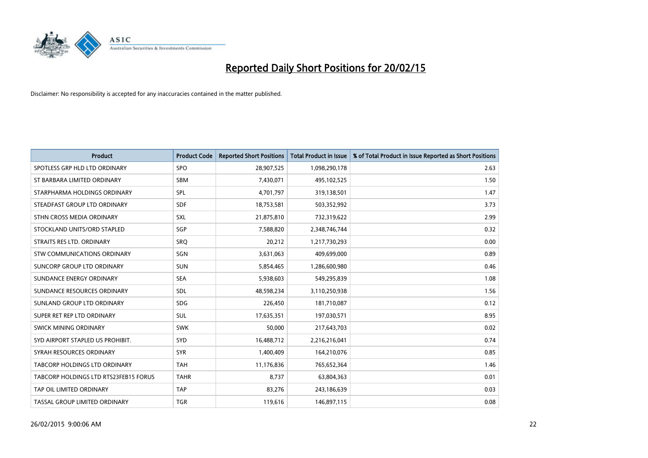

| <b>Product</b>                        | <b>Product Code</b> | <b>Reported Short Positions</b> | <b>Total Product in Issue</b> | % of Total Product in Issue Reported as Short Positions |
|---------------------------------------|---------------------|---------------------------------|-------------------------------|---------------------------------------------------------|
| SPOTLESS GRP HLD LTD ORDINARY         | SPO                 | 28,907,525                      | 1,098,290,178                 | 2.63                                                    |
| ST BARBARA LIMITED ORDINARY           | <b>SBM</b>          | 7,430,071                       | 495,102,525                   | 1.50                                                    |
| STARPHARMA HOLDINGS ORDINARY          | <b>SPL</b>          | 4,701,797                       | 319,138,501                   | 1.47                                                    |
| STEADFAST GROUP LTD ORDINARY          | <b>SDF</b>          | 18,753,581                      | 503,352,992                   | 3.73                                                    |
| STHN CROSS MEDIA ORDINARY             | SXL                 | 21,875,810                      | 732,319,622                   | 2.99                                                    |
| STOCKLAND UNITS/ORD STAPLED           | SGP                 | 7,588,820                       | 2,348,746,744                 | 0.32                                                    |
| STRAITS RES LTD. ORDINARY             | <b>SRQ</b>          | 20,212                          | 1,217,730,293                 | 0.00                                                    |
| STW COMMUNICATIONS ORDINARY           | SGN                 | 3,631,063                       | 409,699,000                   | 0.89                                                    |
| SUNCORP GROUP LTD ORDINARY            | <b>SUN</b>          | 5,854,465                       | 1,286,600,980                 | 0.46                                                    |
| SUNDANCE ENERGY ORDINARY              | <b>SEA</b>          | 5,938,603                       | 549,295,839                   | 1.08                                                    |
| SUNDANCE RESOURCES ORDINARY           | SDL                 | 48,598,234                      | 3,110,250,938                 | 1.56                                                    |
| SUNLAND GROUP LTD ORDINARY            | <b>SDG</b>          | 226,450                         | 181,710,087                   | 0.12                                                    |
| SUPER RET REP LTD ORDINARY            | SUL                 | 17,635,351                      | 197,030,571                   | 8.95                                                    |
| <b>SWICK MINING ORDINARY</b>          | <b>SWK</b>          | 50,000                          | 217,643,703                   | 0.02                                                    |
| SYD AIRPORT STAPLED US PROHIBIT.      | SYD                 | 16,488,712                      | 2,216,216,041                 | 0.74                                                    |
| SYRAH RESOURCES ORDINARY              | <b>SYR</b>          | 1,400,409                       | 164,210,076                   | 0.85                                                    |
| TABCORP HOLDINGS LTD ORDINARY         | <b>TAH</b>          | 11,176,836                      | 765,652,364                   | 1.46                                                    |
| TABCORP HOLDINGS LTD RTS23FEB15 FORUS | <b>TAHR</b>         | 8,737                           | 63,804,363                    | 0.01                                                    |
| TAP OIL LIMITED ORDINARY              | <b>TAP</b>          | 83,276                          | 243,186,639                   | 0.03                                                    |
| TASSAL GROUP LIMITED ORDINARY         | <b>TGR</b>          | 119,616                         | 146,897,115                   | 0.08                                                    |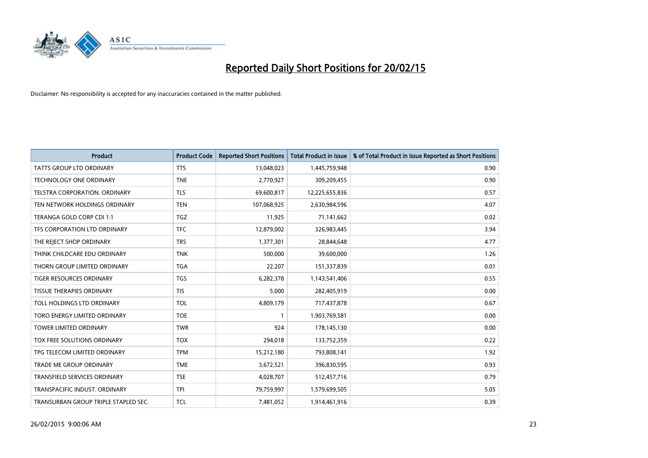

| <b>Product</b>                       | <b>Product Code</b> | <b>Reported Short Positions</b> | <b>Total Product in Issue</b> | % of Total Product in Issue Reported as Short Positions |
|--------------------------------------|---------------------|---------------------------------|-------------------------------|---------------------------------------------------------|
| <b>TATTS GROUP LTD ORDINARY</b>      | <b>TTS</b>          | 13,048,023                      | 1,445,759,948                 | 0.90                                                    |
| TECHNOLOGY ONE ORDINARY              | <b>TNE</b>          | 2,770,927                       | 309,209,455                   | 0.90                                                    |
| <b>TELSTRA CORPORATION, ORDINARY</b> | <b>TLS</b>          | 69,600,817                      | 12,225,655,836                | 0.57                                                    |
| TEN NETWORK HOLDINGS ORDINARY        | <b>TEN</b>          | 107,068,925                     | 2,630,984,596                 | 4.07                                                    |
| TERANGA GOLD CORP CDI 1:1            | <b>TGZ</b>          | 11,925                          | 71,141,662                    | 0.02                                                    |
| TFS CORPORATION LTD ORDINARY         | <b>TFC</b>          | 12,879,002                      | 326,983,445                   | 3.94                                                    |
| THE REJECT SHOP ORDINARY             | <b>TRS</b>          | 1,377,301                       | 28,844,648                    | 4.77                                                    |
| THINK CHILDCARE EDU ORDINARY         | <b>TNK</b>          | 500,000                         | 39,600,000                    | 1.26                                                    |
| THORN GROUP LIMITED ORDINARY         | <b>TGA</b>          | 22,207                          | 151,337,839                   | 0.01                                                    |
| <b>TIGER RESOURCES ORDINARY</b>      | <b>TGS</b>          | 6,282,378                       | 1,143,541,406                 | 0.55                                                    |
| <b>TISSUE THERAPIES ORDINARY</b>     | <b>TIS</b>          | 5,000                           | 282,405,919                   | 0.00                                                    |
| TOLL HOLDINGS LTD ORDINARY           | <b>TOL</b>          | 4,809,179                       | 717,437,878                   | 0.67                                                    |
| TORO ENERGY LIMITED ORDINARY         | <b>TOE</b>          | $\mathbf{1}$                    | 1,903,769,581                 | 0.00                                                    |
| <b>TOWER LIMITED ORDINARY</b>        | <b>TWR</b>          | 924                             | 178,145,130                   | 0.00                                                    |
| TOX FREE SOLUTIONS ORDINARY          | <b>TOX</b>          | 294,018                         | 133,752,359                   | 0.22                                                    |
| TPG TELECOM LIMITED ORDINARY         | <b>TPM</b>          | 15,212,180                      | 793,808,141                   | 1.92                                                    |
| <b>TRADE ME GROUP ORDINARY</b>       | <b>TME</b>          | 3,672,521                       | 396,830,595                   | 0.93                                                    |
| TRANSFIELD SERVICES ORDINARY         | <b>TSE</b>          | 4,028,707                       | 512,457,716                   | 0.79                                                    |
| TRANSPACIFIC INDUST, ORDINARY        | <b>TPI</b>          | 79,759,997                      | 1,579,699,505                 | 5.05                                                    |
| TRANSURBAN GROUP TRIPLE STAPLED SEC. | <b>TCL</b>          | 7,481,052                       | 1,914,461,916                 | 0.39                                                    |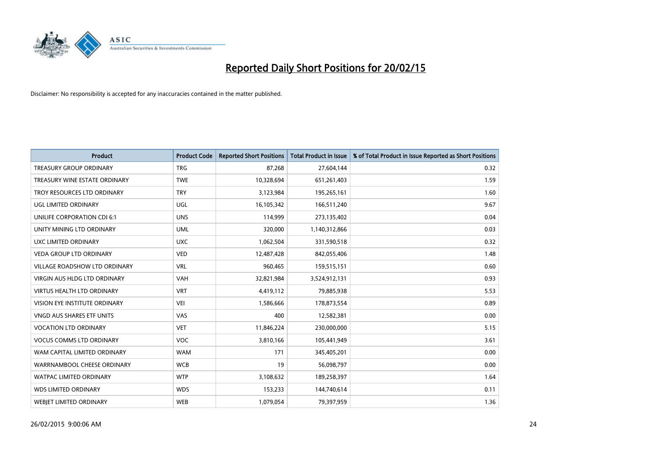

| <b>Product</b>                       | <b>Product Code</b> | <b>Reported Short Positions</b> | <b>Total Product in Issue</b> | % of Total Product in Issue Reported as Short Positions |
|--------------------------------------|---------------------|---------------------------------|-------------------------------|---------------------------------------------------------|
| <b>TREASURY GROUP ORDINARY</b>       | <b>TRG</b>          | 87,268                          | 27,604,144                    | 0.32                                                    |
| TREASURY WINE ESTATE ORDINARY        | <b>TWE</b>          | 10,328,694                      | 651,261,403                   | 1.59                                                    |
| TROY RESOURCES LTD ORDINARY          | <b>TRY</b>          | 3,123,984                       | 195,265,161                   | 1.60                                                    |
| UGL LIMITED ORDINARY                 | UGL                 | 16,105,342                      | 166,511,240                   | 9.67                                                    |
| UNILIFE CORPORATION CDI 6:1          | <b>UNS</b>          | 114,999                         | 273,135,402                   | 0.04                                                    |
| UNITY MINING LTD ORDINARY            | <b>UML</b>          | 320,000                         | 1,140,312,866                 | 0.03                                                    |
| UXC LIMITED ORDINARY                 | <b>UXC</b>          | 1,062,504                       | 331,590,518                   | 0.32                                                    |
| <b>VEDA GROUP LTD ORDINARY</b>       | <b>VED</b>          | 12,487,428                      | 842,055,406                   | 1.48                                                    |
| VILLAGE ROADSHOW LTD ORDINARY        | <b>VRL</b>          | 960,465                         | 159,515,151                   | 0.60                                                    |
| <b>VIRGIN AUS HLDG LTD ORDINARY</b>  | <b>VAH</b>          | 32,821,984                      | 3,524,912,131                 | 0.93                                                    |
| <b>VIRTUS HEALTH LTD ORDINARY</b>    | <b>VRT</b>          | 4,419,112                       | 79,885,938                    | 5.53                                                    |
| <b>VISION EYE INSTITUTE ORDINARY</b> | <b>VEI</b>          | 1,586,666                       | 178,873,554                   | 0.89                                                    |
| VNGD AUS SHARES ETF UNITS            | VAS                 | 400                             | 12,582,381                    | 0.00                                                    |
| <b>VOCATION LTD ORDINARY</b>         | <b>VET</b>          | 11,846,224                      | 230,000,000                   | 5.15                                                    |
| <b>VOCUS COMMS LTD ORDINARY</b>      | <b>VOC</b>          | 3,810,166                       | 105,441,949                   | 3.61                                                    |
| WAM CAPITAL LIMITED ORDINARY         | <b>WAM</b>          | 171                             | 345,405,201                   | 0.00                                                    |
| WARRNAMBOOL CHEESE ORDINARY          | <b>WCB</b>          | 19                              | 56,098,797                    | 0.00                                                    |
| WATPAC LIMITED ORDINARY              | <b>WTP</b>          | 3,108,632                       | 189,258,397                   | 1.64                                                    |
| <b>WDS LIMITED ORDINARY</b>          | <b>WDS</b>          | 153,233                         | 144,740,614                   | 0.11                                                    |
| <b>WEBJET LIMITED ORDINARY</b>       | <b>WEB</b>          | 1,079,054                       | 79,397,959                    | 1.36                                                    |